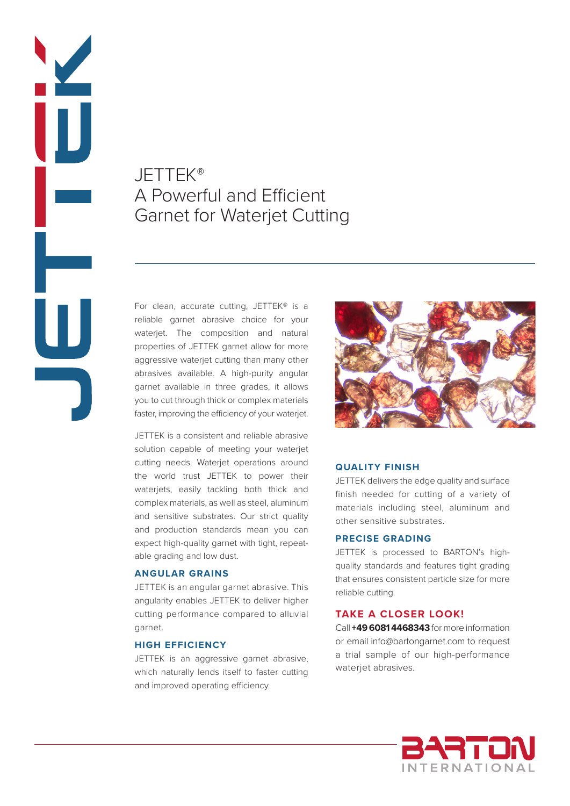# JETTEK® A Powerful and Efficient Garnet for Waterjet Cutting

Ď

 $\blacksquare$ 

For clean, accurate cutting, JETTEK® is a reliable garnet abrasive choice for your waterjet. The composition and natural properties of JETTEK garnet allow for more aggressive waterjet cutting than many other abrasives available. A high-purity angular garnet available in three grades, it allows you to cut through thick or complex materials faster, improving the efficiency of your waterjet.

JETTEK is a consistent and reliable abrasive solution capable of meeting your waterjet cutting needs. Waterjet operations around the world trust JETTEK to power their waterjets, easily tackling both thick and complex materials, as well as steel, aluminum and sensitive substrates. Our strict quality and production standards mean you can expect high-quality garnet with tight, repeatable grading and low dust.

### **ANGULAR GRAINS**

JETTEK is an angular garnet abrasive. This angularity enables JETTEK to deliver higher cutting performance compared to alluvial garnet.

# **HIGH EFFICIENCY**

JETTEK is an aggressive garnet abrasive, which naturally lends itself to faster cutting and improved operating efficiency.



### **QUALITY FINISH**

JETTEK delivers the edge quality and surface finish needed for cutting of a variety of materials including steel, aluminum and other sensitive substrates.

# **PRECISE GRADING**

JETTEK is processed to BARTON's highquality standards and features tight grading that ensures consistent particle size for more reliable cutting.

## **TAKE A CLOSER LOOK!**

Call **+49 6081 4468343** for more information or email info@bartongarnet.com to request a trial sample of our high-performance waterjet abrasives.